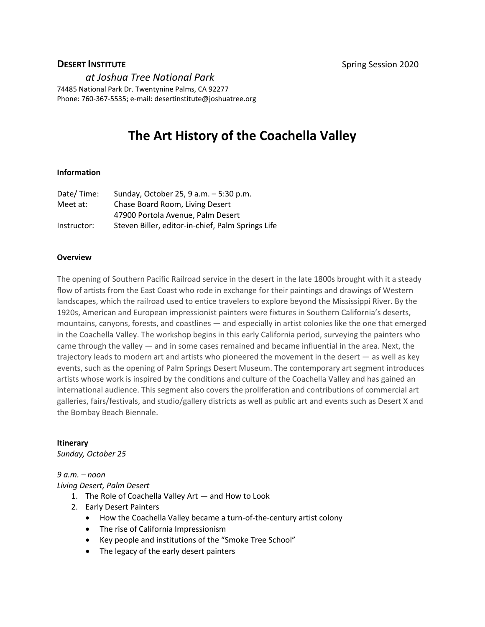**DESERT INSTITUTE Spring Session 2020** 

*at Joshua Tree National Park* 

74485 National Park Dr. Twentynine Palms, CA 92277 Phone: 760-367-5535; e-mail: desertinstitute@joshuatree.org

# **The Art History of the Coachella Valley**

#### **Information**

| Date/Time:  | Sunday, October 25, 9 a.m. - 5:30 p.m.            |
|-------------|---------------------------------------------------|
| Meet at:    | Chase Board Room, Living Desert                   |
|             | 47900 Portola Avenue, Palm Desert                 |
| Instructor: | Steven Biller, editor-in-chief, Palm Springs Life |

#### **Overview**

The opening of Southern Pacific Railroad service in the desert in the late 1800s brought with it a steady flow of artists from the East Coast who rode in exchange for their paintings and drawings of Western landscapes, which the railroad used to entice travelers to explore beyond the Mississippi River. By the 1920s, American and European impressionist painters were fixtures in Southern California's deserts, mountains, canyons, forests, and coastlines — and especially in artist colonies like the one that emerged in the Coachella Valley. The workshop begins in this early California period, surveying the painters who came through the valley — and in some cases remained and became influential in the area. Next, the trajectory leads to modern art and artists who pioneered the movement in the desert — as well as key events, such as the opening of Palm Springs Desert Museum. The contemporary art segment introduces artists whose work is inspired by the conditions and culture of the Coachella Valley and has gained an international audience. This segment also covers the proliferation and contributions of commercial art galleries, fairs/festivals, and studio/gallery districts as well as public art and events such as Desert X and the Bombay Beach Biennale.

#### **Itinerary**

*Sunday, October 25*

#### *9 a.m. – noon Living Desert, Palm Desert*

- 1. The Role of Coachella Valley Art and How to Look
- 2. Early Desert Painters
	- How the Coachella Valley became a turn-of-the-century artist colony
	- The rise of California Impressionism
	- Key people and institutions of the "Smoke Tree School"
	- The legacy of the early desert painters